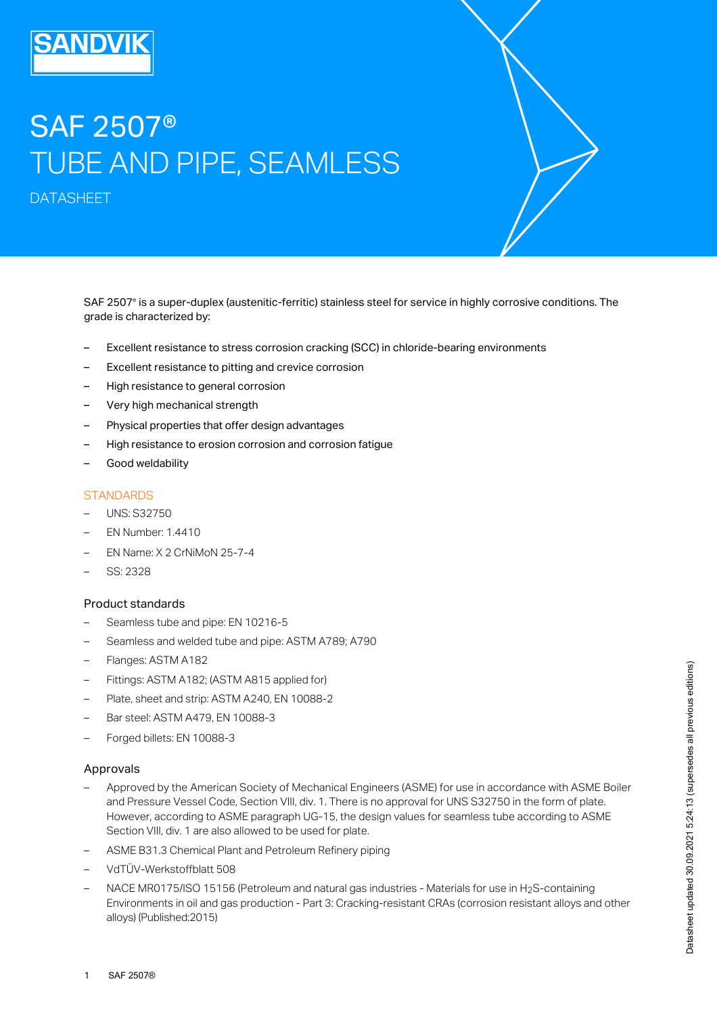# SAF 2507® TUBE AND PIPE, SEAMLESS

DATASHEET

SAF 2507® is a super-duplex (austenitic-ferritic) stainless steel for service in highly corrosive conditions. The grade is characterized by:

- Excellent resistance to stress corrosion cracking (SCC) in chloride-bearing environments
- Excellent resistance to pitting and crevice corrosion
- High resistance to general corrosion
- Very high mechanical strength
- Physical properties that offer design advantages
- High resistance to erosion corrosion and corrosion fatigue
- Good weldability

## **STANDARDS**

- UNS: S32750
- EN Number: 1.4410
- EN Name: X 2 CrNiMoN 25-7-4
- SS: 2328

# Product standards

- Seamless tube and pipe: EN 10216-5
- Seamless and welded tube and pipe: ASTM A789; A790
- Flanges: ASTM A182
- Fittings: ASTM A182; (ASTM A815 applied for)
- Plate, sheet and strip: ASTM A240, EN 10088-2
- Bar steel: ASTM A479, EN 10088-3
- Forged billets: EN 10088-3

#### Approvals

- Approved by the American Society of Mechanical Engineers (ASME) for use in accordance with ASME Boiler and Pressure Vessel Code, Section VIII, div. 1. There is no approval for UNS S32750 in the form of plate. However, according to ASME paragraph UG-15, the design values for seamless tube according to ASME Section VIII, div. 1 are also allowed to be used for plate. – – Pittings: ASTM A182; (ASTM A815 applied for)<br>
– Plate, sheet and strip: ASTM A240, EN 10088-2<br>
– Bar steel: ASTM A479, EN 10088-3<br>
– Forged billets: EN 10088-3<br>
– Approved by the American Society of Mechanical Engineers
- ASME B31.3 Chemical Plant and Petroleum Refinery piping
- VdTÜV-Werkstoffblatt 508
- NACE MR0175/ISO 15156 (Petroleum and natural gas industries Materials for use in H2S-containing Environments in oil and gas production - Part 3: Cracking-resistant CRAs (corrosion resistant alloys and other alloys) (Published:2015)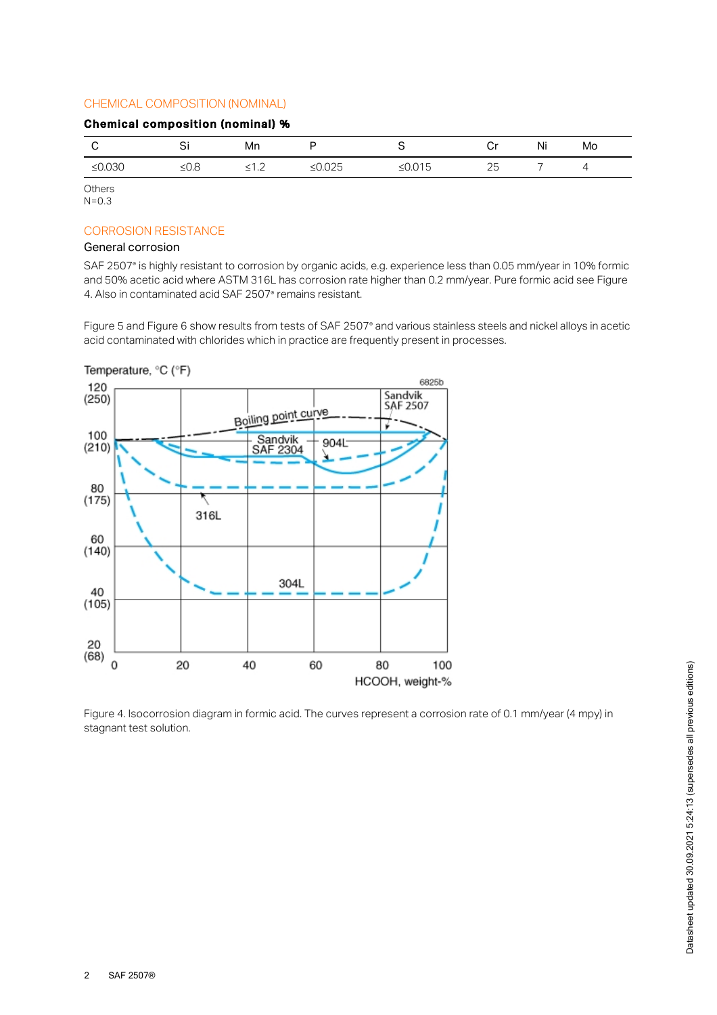# CHEMICAL COMPOSITION (NOMINAL)

#### Chemical composition (nominal) %

| ≤ $0.030$<br>≤ $0.025$<br>≤ $0.015$<br>25<br>≤0.8<br><12 | ا ب | Mn |  | Cr | Ni | Mo |
|----------------------------------------------------------|-----|----|--|----|----|----|
|                                                          |     |    |  |    |    |    |

**Others**  $N = 0.3$ 

# CORROSION RESISTANCE

# General corrosion

SAF 2507° is highly resistant to corrosion by organic acids, e.g. experience less than 0.05 mm/year in 10% formic and 50% acetic acid where ASTM 316L has corrosion rate higher than 0.2 mm/year. Pure formic acid see Figure 4. Also in contaminated acid SAF 2507<sup>®</sup> remains resistant.

Figure 5 and Figure 6 show results from tests of SAF 2507° and various stainless steels and nickel alloys in acetic acid contaminated with chlorides which in practice are frequently present in processes.



Figure 4. Isocorrosion diagram in formic acid. The curves represent a corrosion rate of 0.1 mm/year (4 mpy) in stagnant test solution.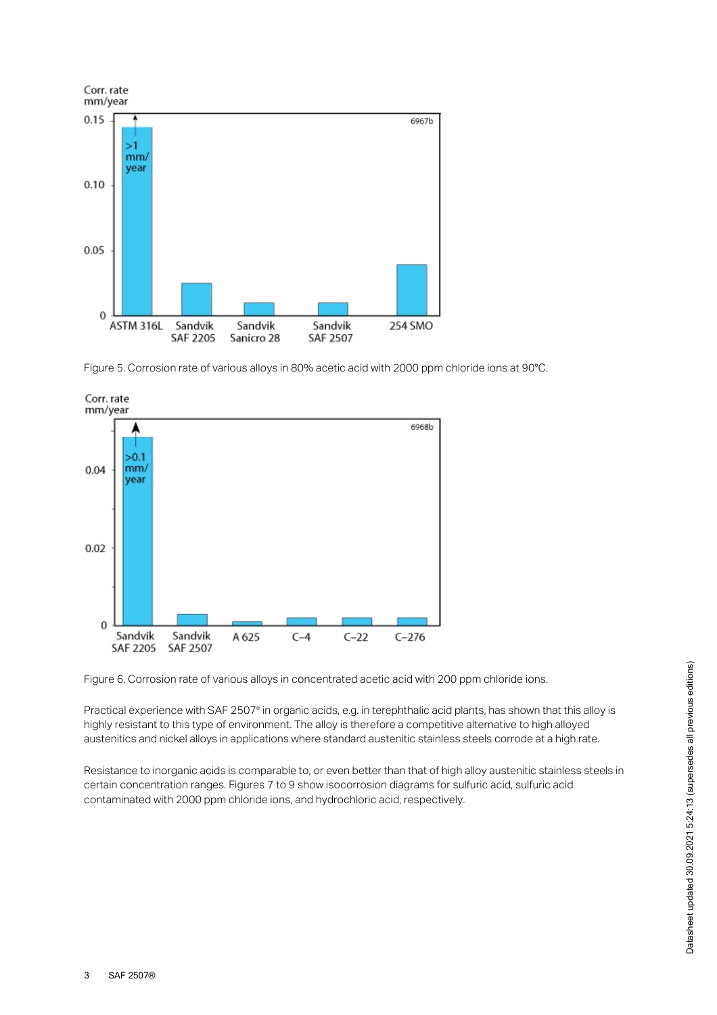

Figure 5. Corrosion rate of various alloys in 80% acetic acid with 2000 ppm chloride ions at 90°C.



Figure 6. Corrosion rate of various alloys in concentrated acetic acid with 200 ppm chloride ions.

Practical experience with SAF 2507® in organic acids, e.g. in terephthalic acid plants, has shown that this alloy is highly resistant to this type of environment. The alloy is therefore a competitive alternative to high alloyed austenitics and nickel alloys in applications where standard austenitic stainless steels corrode at a high rate.

Resistance to inorganic acids is comparable to, or even better than that of high alloy austenitic stainless steels in certain concentration ranges. Figures 7 to 9 show isocorrosion diagrams for sulfuric acid, sulfuric acid contaminated with 2000 ppm chloride ions, and hydrochloric acid, respectively.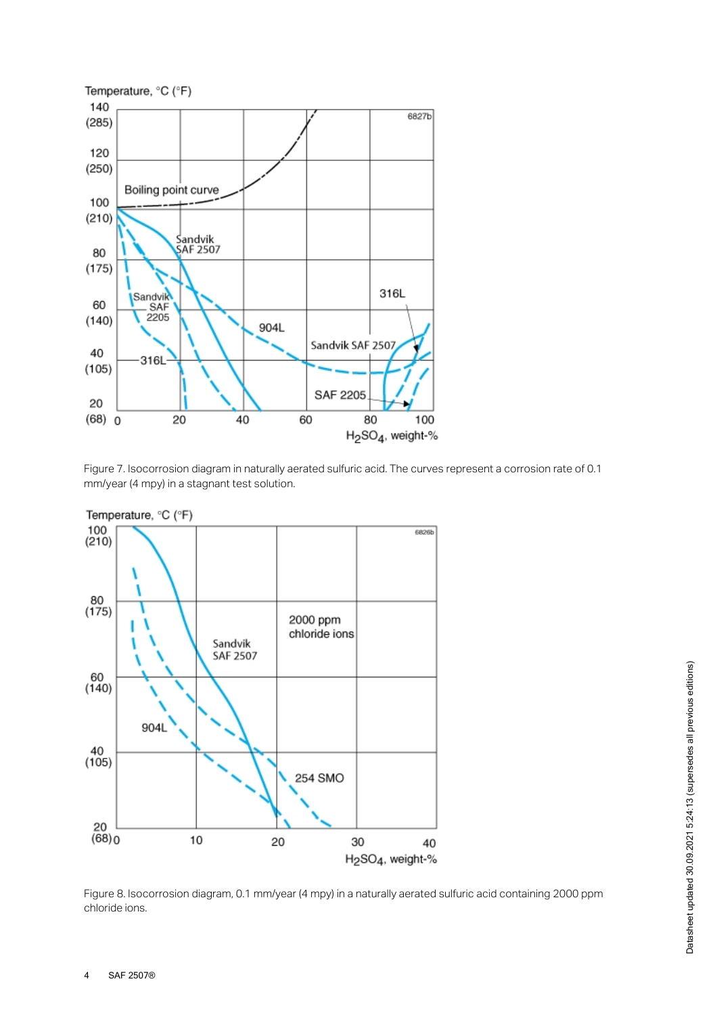

Figure 7. Isocorrosion diagram in naturally aerated sulfuric acid. The curves represent a corrosion rate of 0.1 mm/year (4 mpy) in a stagnant test solution.



Figure 8. Isocorrosion diagram, 0.1 mm/year (4 mpy) in a naturally aerated sulfuric acid containing 2000 ppm chloride ions.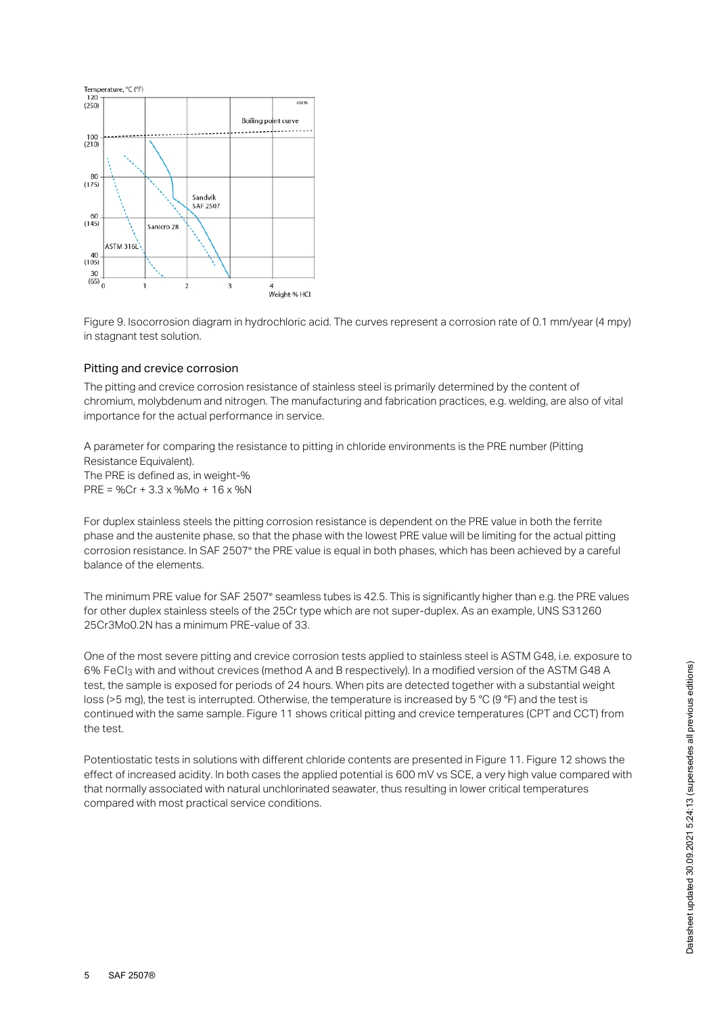

Figure 9. Isocorrosion diagram in hydrochloric acid. The curves represent a corrosion rate of 0.1 mm/year (4 mpy) in stagnant test solution.

#### Pitting and crevice corrosion

The pitting and crevice corrosion resistance of stainless steel is primarily determined by the content of chromium, molybdenum and nitrogen. The manufacturing and fabrication practices, e.g. welding, are also of vital importance for the actual performance in service.

A parameter for comparing the resistance to pitting in chloride environments is the PRE number (Pitting Resistance Equivalent). The PRE is defined as, in weight-% PRE = %Cr + 3.3 x %Mo + 16 x %N

For duplex stainless steels the pitting corrosion resistance is dependent on the PRE value in both the ferrite phase and the austenite phase, so that the phase with the lowest PRE value will be limiting for the actual pitting corrosion resistance. In SAF 2507° the PRE value is equal in both phases, which has been achieved by a careful balance of the elements.

The minimum PRE value for SAF 2507° seamless tubes is 42.5. This is significantly higher than e.g. the PRE values for other duplex stainless steels of the 25Cr type which are not super-duplex. As an example, UNS S31260 25Cr3Mo0.2N has a minimum PRE-value of 33.

One of the most severe pitting and crevice corrosion tests applied to stainless steel is ASTM G48, i.e. exposure to 6% FeCl3 with and without crevices (method A and B respectively). In a modified version of the ASTM G48 A test, the sample is exposed for periods of 24 hours. When pits are detected together with a substantial weight loss (>5 mg), the test is interrupted. Otherwise, the temperature is increased by 5 °C (9 °F) and the test is continued with the same sample. Figure 11 shows critical pitting and crevice temperatures (CPT and CCT) from the test.

Potentiostatic tests in solutions with different chloride contents are presented in Figure 11. Figure 12 shows the effect of increased acidity. In both cases the applied potential is 600 mV vs SCE, a very high value compared with that normally associated with natural unchlorinated seawater, thus resulting in lower critical temperatures compared with most practical service conditions.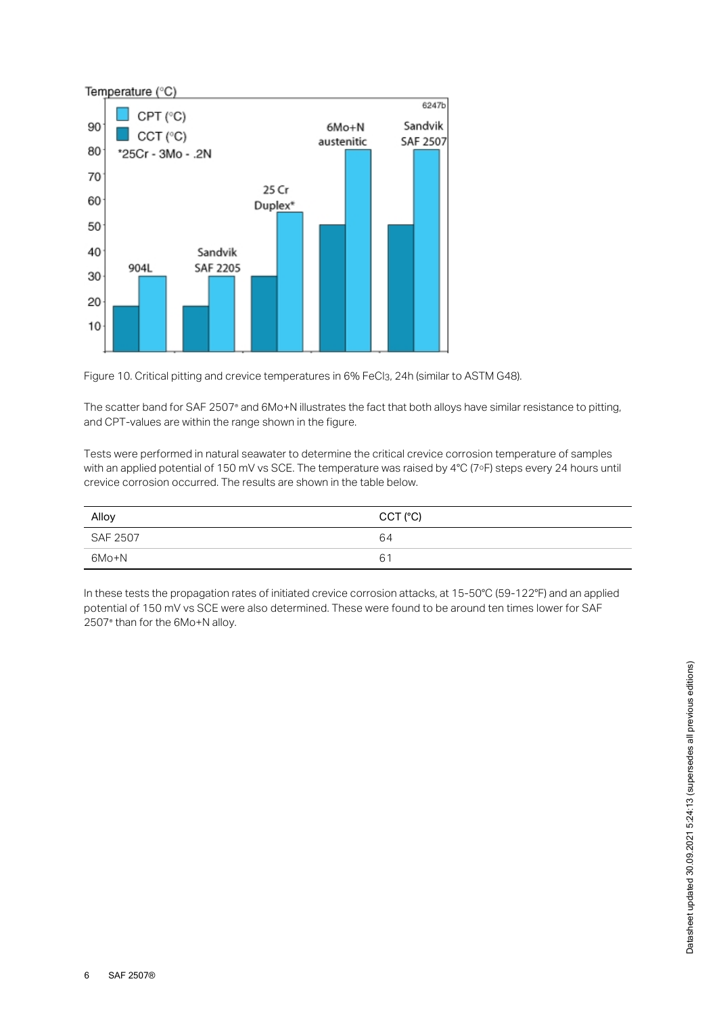

Figure 10. Critical pitting and crevice temperatures in 6% FeCl3, 24h (similar to ASTM G48).

The scatter band for SAF 2507° and 6Mo+N illustrates the fact that both alloys have similar resistance to pitting, and CPT-values are within the range shown in the figure.

Tests were performed in natural seawater to determine the critical crevice corrosion temperature of samples with an applied potential of 150 mV vs SCE. The temperature was raised by 4°C (7°F) steps every 24 hours until crevice corrosion occurred. The results are shown in the table below.

| Alloy    | CCT (°C) |
|----------|----------|
| SAF 2507 | 64       |
| 6Mo+N    | 61       |

In these tests the propagation rates of initiated crevice corrosion attacks, at 15-50°C (59-122°F) and an applied potential of 150 mV vs SCE were also determined. These were found to be around ten times lower for SAF 2507<sup>®</sup> than for the 6Mo+N alloy.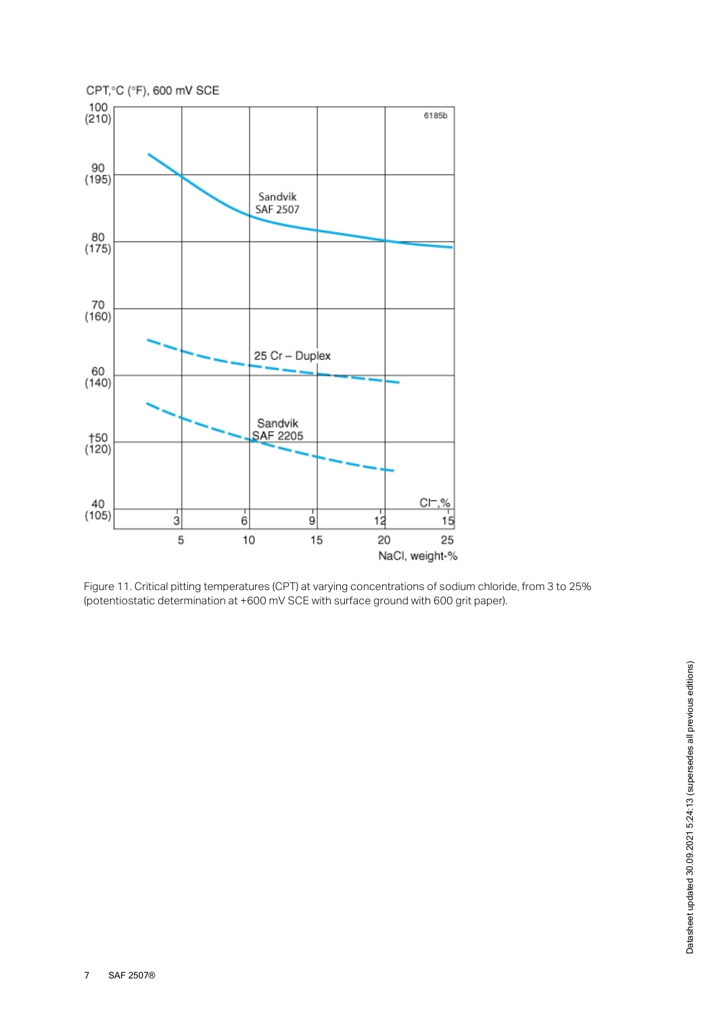

Figure 11. Critical pitting temperatures (CPT) at varying concentrations of sodium chloride, from 3 to 25% (potentiostatic determination at +600 mV SCE with surface ground with 600 grit paper).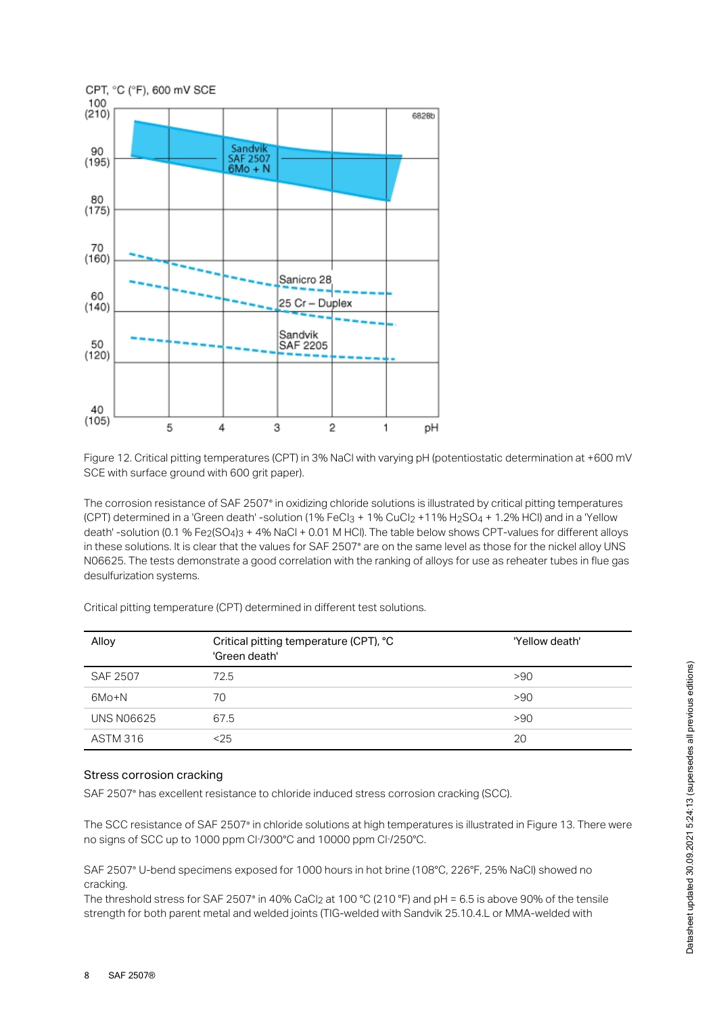

Figure 12. Critical pitting temperatures (CPT) in 3% NaCl with varying pH (potentiostatic determination at +600 mV SCE with surface ground with 600 grit paper).

The corrosion resistance of SAF 2507° in oxidizing chloride solutions is illustrated by critical pitting temperatures (CPT) determined in a 'Green death' -solution (1% FeCl3 + 1% CuCl2 +11% H2SO4 + 1.2% HCl) and in a 'Yellow death' -solution (0.1 % Fe $_2$ (SO4) $_3$  + 4% NaCl + 0.01 M HCl). The table below shows CPT-values for different alloys in these solutions. It is clear that the values for SAF 2507° are on the same level as those for the nickel alloy UNS N06625. The tests demonstrate a good correlation with the ranking of alloys for use as reheater tubes in flue gas desulfurization systems.

| Alloy             | Critical pitting temperature (CPT), °C<br>'Green death' | 'Yellow death' |
|-------------------|---------------------------------------------------------|----------------|
| <b>SAF 2507</b>   | 72.5                                                    | >90            |
| 6Mo+N             | 70                                                      | >90            |
| <b>UNS N06625</b> | 67.5                                                    | >90            |
| <b>ASTM 316</b>   | $25$                                                    | 20             |

Critical pitting temperature (CPT) determined in different test solutions.

#### Stress corrosion cracking

SAF 2507° has excellent resistance to chloride induced stress corrosion cracking (SCC).

The SCC resistance of SAF 2507° in chloride solutions at high temperatures is illustrated in Figure 13. There were no signs of SCC up to 1000 ppm Cl /300°C and 10000 ppm Cl /250°C. *- -*

SAF 2507° U-bend specimens exposed for 1000 hours in hot brine (108°C, 226°F, 25% NaCl) showed no cracking.

The threshold stress for SAF 2507° in 40% CaCl $_2$  at 100 °C (210 °F) and pH = 6.5 is above 90% of the tensile strength for both parent metal and welded joints (TIG-welded with Sandvik 25.10.4.L or MMA-welded with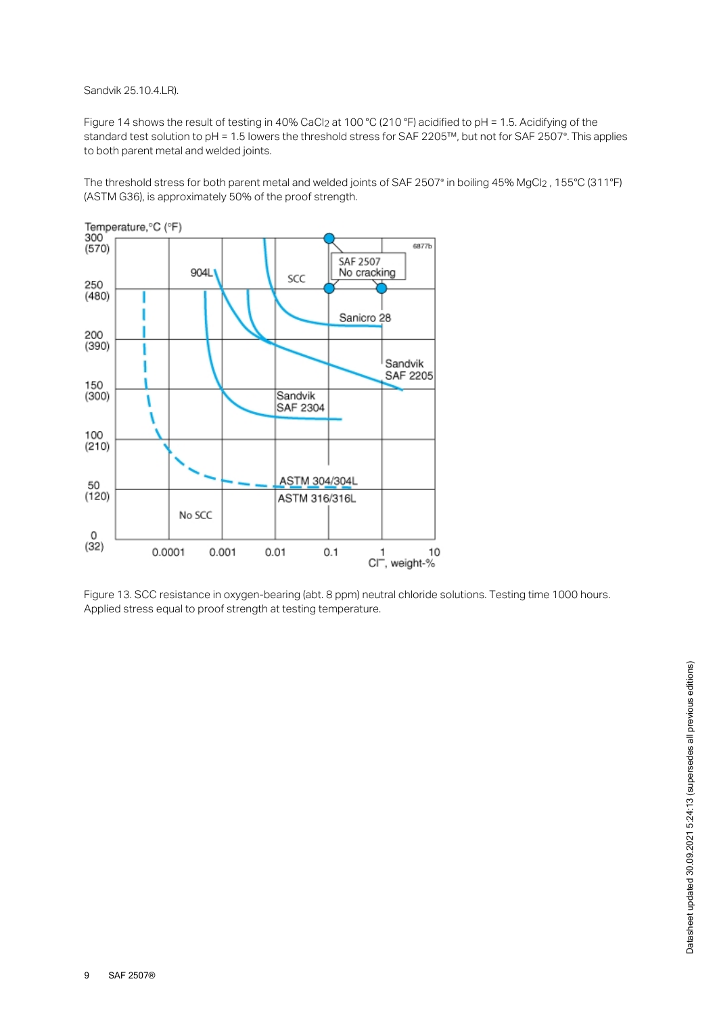Sandvik 25.10.4.LR).

Figure 14 shows the result of testing in 40% CaCl<sub>2</sub> at 100 °C (210 °F) acidified to pH = 1.5. Acidifying of the standard test solution to pH = 1.5 lowers the threshold stress for SAF 2205™, but not for SAF 2507®. This applies to both parent metal and welded joints.

The threshold stress for both parent metal and welded joints of SAF 2507° in boiling 45% MgCl $_2$  , 155°C (311°F) (ASTM G36), is approximately 50% of the proof strength.



Figure 13. SCC resistance in oxygen-bearing (abt. 8 ppm) neutral chloride solutions. Testing time 1000 hours. Applied stress equal to proof strength at testing temperature.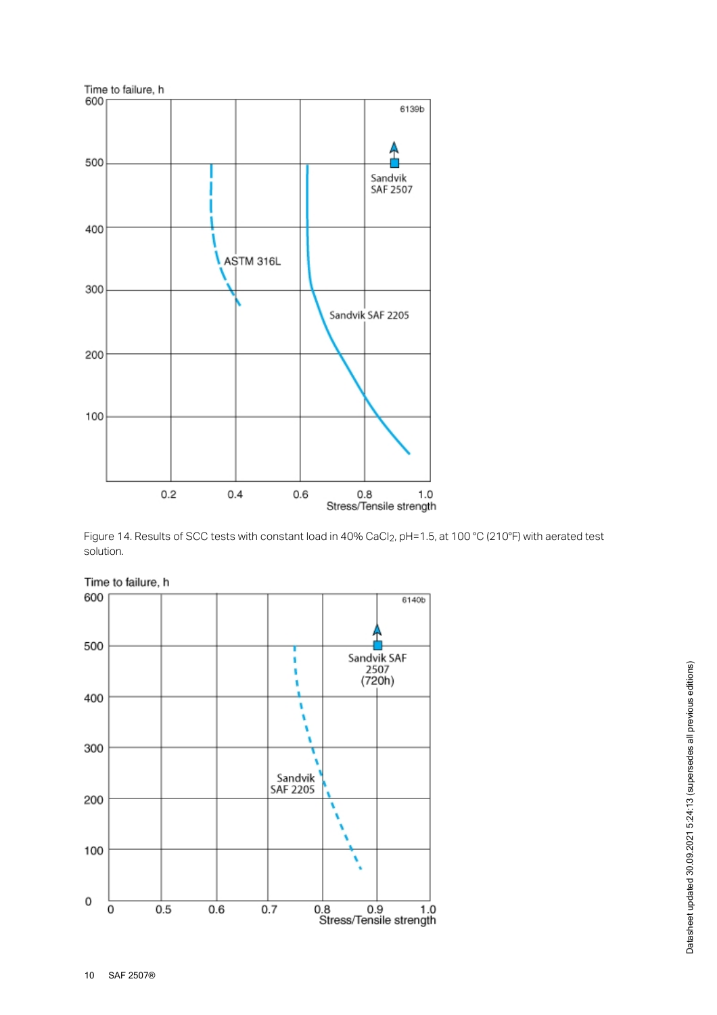

Figure 14. Results of SCC tests with constant load in 40% CaCl $_2$ , pH=1.5, at 100 °C (210°F) with aerated test solution.



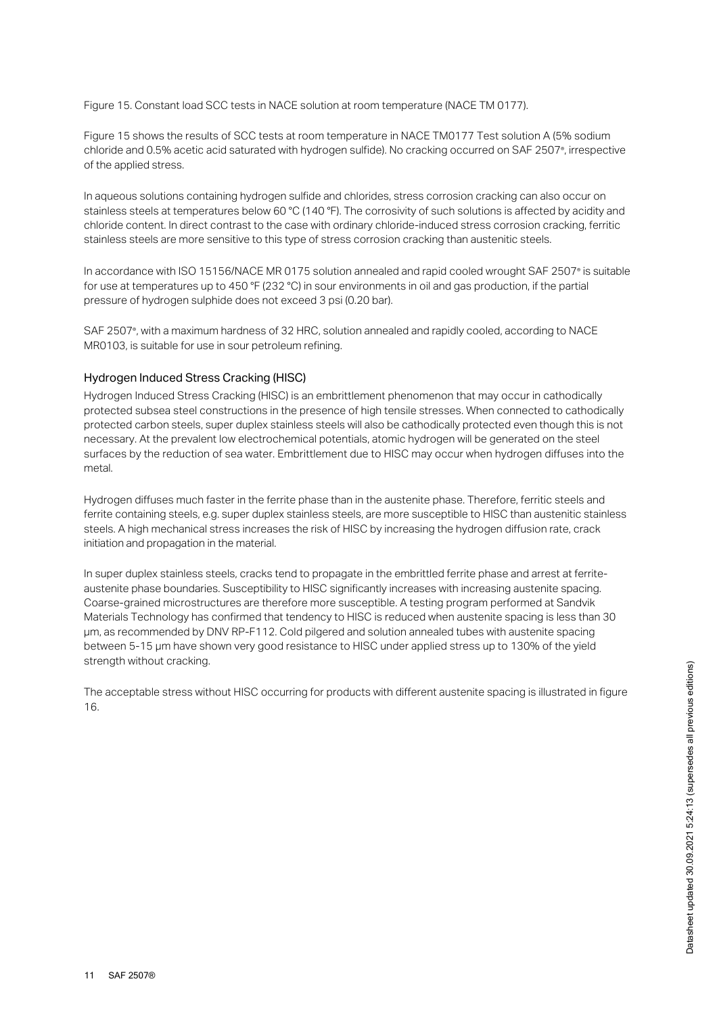Figure 15. Constant load SCC tests in NACE solution at room temperature (NACE TM 0177).

Figure 15 shows the results of SCC tests at room temperature in NACE TM0177 Test solution A (5% sodium chloride and 0.5% acetic acid saturated with hydrogen sulfide). No cracking occurred on SAF 2507°, irrespective of the applied stress.

In aqueous solutions containing hydrogen sulfide and chlorides, stress corrosion cracking can also occur on stainless steels at temperatures below 60 °C (140 °F). The corrosivity of such solutions is affected by acidity and chloride content. In direct contrast to the case with ordinary chloride-induced stress corrosion cracking, ferritic stainless steels are more sensitive to this type of stress corrosion cracking than austenitic steels.

In accordance with ISO 15156/NACE MR 0175 solution annealed and rapid cooled wrought SAF 2507° is suitable for use at temperatures up to 450 °F (232 °C) in sour environments in oil and gas production, if the partial pressure of hydrogen sulphide does not exceed 3 psi (0.20 bar).

SAF 2507°, with a maximum hardness of 32 HRC, solution annealed and rapidly cooled, according to NACE MR0103, is suitable for use in sour petroleum refining.

## Hydrogen Induced Stress Cracking (HISC)

Hydrogen Induced Stress Cracking (HISC) is an embrittlement phenomenon that may occur in cathodically protected subsea steel constructions in the presence of high tensile stresses. When connected to cathodically protected carbon steels, super duplex stainless steels will also be cathodically protected even though this is not necessary. At the prevalent low electrochemical potentials, atomic hydrogen will be generated on the steel surfaces by the reduction of sea water. Embrittlement due to HISC may occur when hydrogen diffuses into the metal.

Hydrogen diffuses much faster in the ferrite phase than in the austenite phase. Therefore, ferritic steels and ferrite containing steels, e.g. super duplex stainless steels, are more susceptible to HISC than austenitic stainless steels. A high mechanical stress increases the risk of HISC by increasing the hydrogen diffusion rate, crack initiation and propagation in the material.

In super duplex stainless steels, cracks tend to propagate in the embrittled ferrite phase and arrest at ferriteaustenite phase boundaries. Susceptibility to HISC significantly increases with increasing austenite spacing. Coarse-grained microstructures are therefore more susceptible. A testing program performed at Sandvik Materials Technology has confirmed that tendency to HISC is reduced when austenite spacing is less than 30 μm, as recommended by DNV RP-F112. Cold pilgered and solution annealed tubes with austenite spacing between 5-15 μm have shown very good resistance to HISC under applied stress up to 130% of the yield strength without cracking.

The acceptable stress without HISC occurring for products with different austenite spacing is illustrated in figure 16.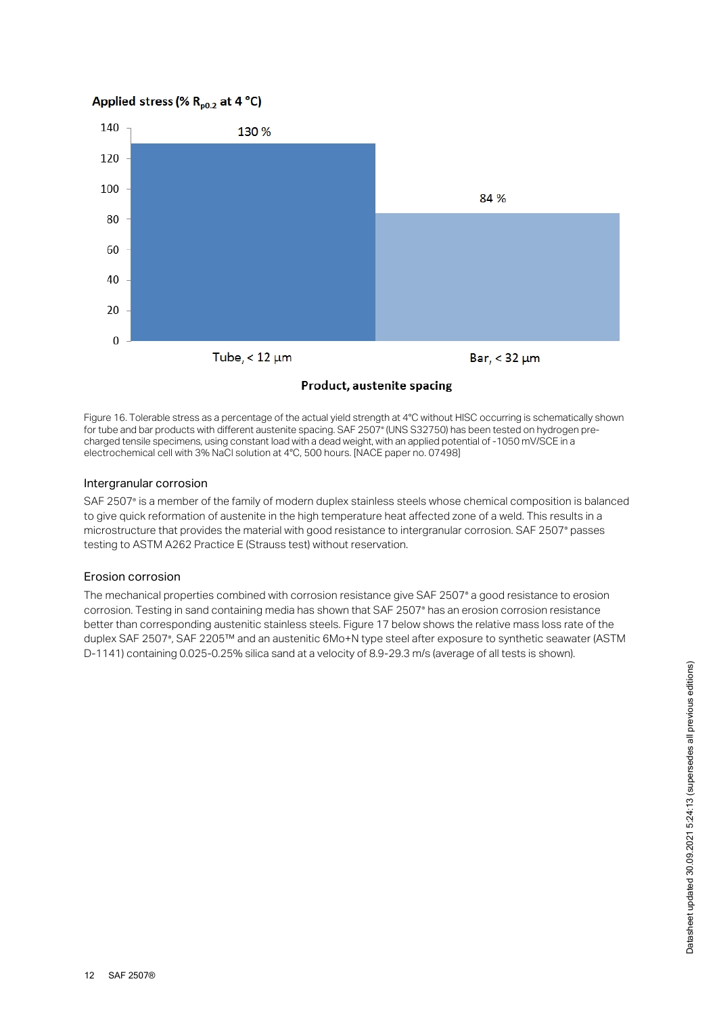# Applied stress (%  $R_{p0.2}$  at 4 °C)



Product, austenite spacing

Figure 16. Tolerable stress as a percentage of the actual yield strength at 4°C without HISC occurring is schematically shown for tube and bar products with different austenite spacing. SAF 2507° (UNS S32750) has been tested on hydrogen precharged tensile specimens, using constant load with a dead weight, with an applied potential of -1050 mV/SCE in a electrochemical cell with 3% NaCl solution at 4°C, 500 hours. [NACE paper no. 07498]

#### Intergranular corrosion

SAF 2507° is a member of the family of modern duplex stainless steels whose chemical composition is balanced to give quick reformation of austenite in the high temperature heat affected zone of a weld. This results in a microstructure that provides the material with good resistance to intergranular corrosion. SAF 2507° passes testing to ASTM A262 Practice E (Strauss test) without reservation.

## Erosion corrosion

The mechanical properties combined with corrosion resistance give SAF 2507® a good resistance to erosion corrosion. Testing in sand containing media has shown that SAF 2507° has an erosion corrosion resistance better than corresponding austenitic stainless steels. Figure 17 below shows the relative mass loss rate of the duplex SAF 2507°, SAF 2205™ and an austenitic 6Mo+N type steel after exposure to synthetic seawater (ASTM D-1141) containing 0.025-0.25% silica sand at a velocity of 8.9-29.3 m/s (average of all tests is shown).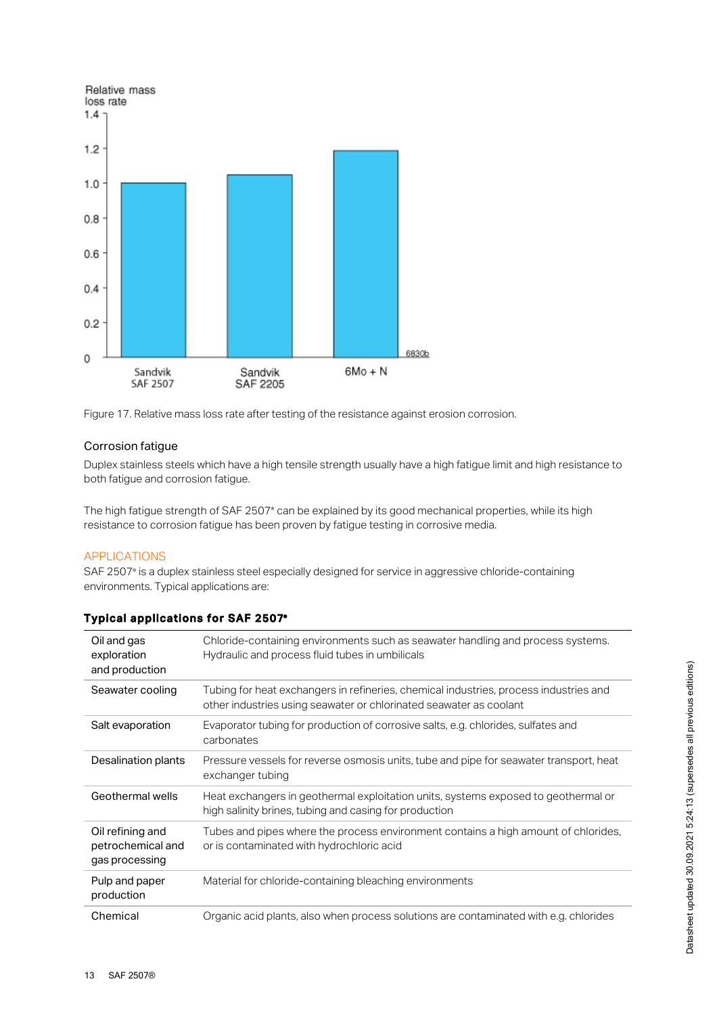

Figure 17. Relative mass loss rate after testing of the resistance against erosion corrosion.

# Corrosion fatigue

Duplex stainless steels which have a high tensile strength usually have a high fatigue limit and high resistance to both fatigue and corrosion fatigue.

The high fatigue strength of SAF 2507° can be explained by its good mechanical properties, while its high resistance to corrosion fatigue has been proven by fatigue testing in corrosive media.

# APPLICATIONS

SAF 2507° is a duplex stainless steel especially designed for service in aggressive chloride-containing environments. Typical applications are:

# Typical applications for SAF 2507 ®

| Oil and gas<br>exploration<br>and production            | Chloride-containing environments such as seawater handling and process systems.<br>Hydraulic and process fluid tubes in umbilicals                          |
|---------------------------------------------------------|-------------------------------------------------------------------------------------------------------------------------------------------------------------|
| Seawater cooling                                        | Tubing for heat exchangers in refineries, chemical industries, process industries and<br>other industries using seawater or chlorinated seawater as coolant |
| Salt evaporation                                        | Evaporator tubing for production of corrosive salts, e.g. chlorides, sulfates and<br>carbonates                                                             |
| Desalination plants                                     | Pressure vessels for reverse osmosis units, tube and pipe for seawater transport, heat<br>exchanger tubing                                                  |
| Geothermal wells                                        | Heat exchangers in geothermal exploitation units, systems exposed to geothermal or<br>high salinity brines, tubing and casing for production                |
| Oil refining and<br>petrochemical and<br>gas processing | Tubes and pipes where the process environment contains a high amount of chlorides,<br>or is contaminated with hydrochloric acid                             |
| Pulp and paper<br>production                            | Material for chloride-containing bleaching environments                                                                                                     |
| Chemical                                                | Organic acid plants, also when process solutions are contaminated with e.g. chlorides                                                                       |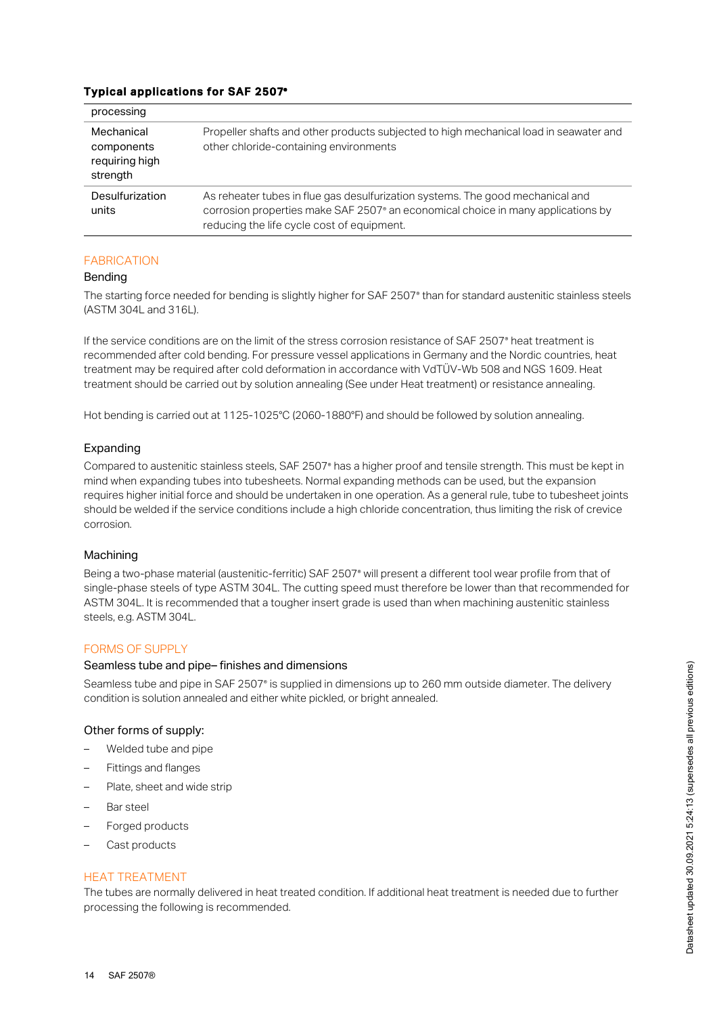# Typical applications for SAF 2507®

| processing                                             |                                                                                                                                                                                                                              |
|--------------------------------------------------------|------------------------------------------------------------------------------------------------------------------------------------------------------------------------------------------------------------------------------|
| Mechanical<br>components<br>requiring high<br>strength | Propeller shafts and other products subjected to high mechanical load in seawater and<br>other chloride-containing environments                                                                                              |
| Desulfurization<br>units                               | As reheater tubes in flue gas desulfurization systems. The good mechanical and<br>corrosion properties make SAF 2507 <sup>®</sup> an economical choice in many applications by<br>reducing the life cycle cost of equipment. |

# FABRICATION

## Bending

The starting force needed for bending is slightly higher for SAF 2507° than for standard austenitic stainless steels (ASTM 304L and 316L).

If the service conditions are on the limit of the stress corrosion resistance of SAF 2507° heat treatment is recommended after cold bending. For pressure vessel applications in Germany and the Nordic countries, heat treatment may be required after cold deformation in accordance with VdTÜV-Wb 508 and NGS 1609. Heat treatment should be carried out by solution annealing (See under Heat treatment) or resistance annealing.

Hot bending is carried out at 1125-1025°C (2060-1880°F) and should be followed by solution annealing.

## Expanding

Compared to austenitic stainless steels, SAF 2507® has a higher proof and tensile strength. This must be kept in mind when expanding tubes into tubesheets. Normal expanding methods can be used, but the expansion requires higher initial force and should be undertaken in one operation. As a general rule, tube to tubesheet joints should be welded if the service conditions include a high chloride concentration, thus limiting the risk of crevice corrosion.

#### Machining

Being a two-phase material (austenitic-ferritic) SAF 2507® will present a different tool wear profile from that of single-phase steels of type ASTM 304L. The cutting speed must therefore be lower than that recommended for ASTM 304L. It is recommended that a tougher insert grade is used than when machining austenitic stainless steels, e.g. ASTM 304L.

# FORMS OF SUPPLY

## Seamless tube and pipe– finishes and dimensions

Seamless tube and pipe in SAF 2507° is supplied in dimensions up to 260 mm outside diameter. The delivery condition is solution annealed and either white pickled, or bright annealed.

#### Other forms of supply:

- Welded tube and pipe
- Fittings and flanges
- Plate, sheet and wide strip
- Bar steel
- Forged products
- Cast products

#### HEAT TREATMENT

The tubes are normally delivered in heat treated condition. If additional heat treatment is needed due to further processing the following is recommended.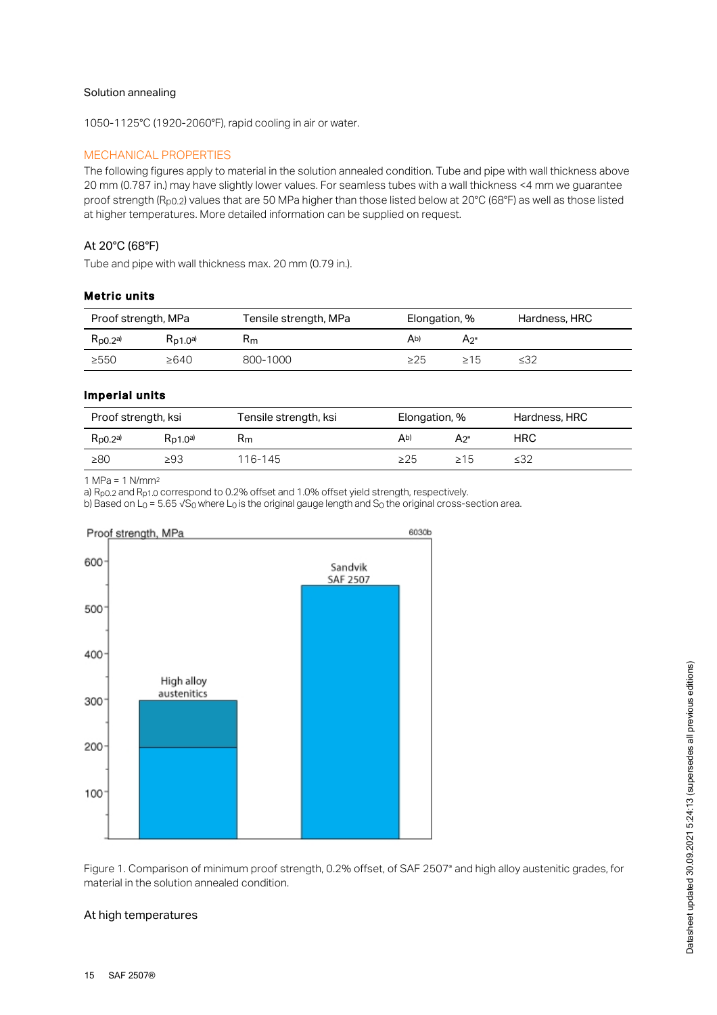#### Solution annealing

1050-1125°C (1920-2060°F), rapid cooling in air or water.

#### MECHANICAL PROPERTIES

The following figures apply to material in the solution annealed condition. Tube and pipe with wall thickness above 20 mm (0.787 in.) may have slightly lower values. For seamless tubes with a wall thickness <4 mm we guarantee proof strength (R<sub>p0.2</sub>) values that are 50 MPa higher than those listed below at 20°C (68°F) as well as those listed at higher temperatures. More detailed information can be supplied on request.

# At 20°C (68°F)

Tube and pipe with wall thickness max. 20 mm (0.79 in.).

#### Metric units

| Proof strength, MPa  |               | Tensile strength, MPa | Elongation, % |     | Hardness, HRC |
|----------------------|---------------|-----------------------|---------------|-----|---------------|
| $R_{\text{D}0.2}$ a) | $R_{D1,0}$ a) | Rm                    | Ab)           | A2" |               |
| >550                 | $\geq 640$    | 800-1000              | >25           | >15 | $\leq 32$     |

## Imperial units

| Proof strength, ksi   |               | Tensile strength, ksi | Elongation, % |           | Hardness, HRC |
|-----------------------|---------------|-----------------------|---------------|-----------|---------------|
| $R_{\text{D}0.2}^{a}$ | $R_{D1,0}$ a) | Rm                    | Ab)           | А2"       | HRC           |
| $\geq 80$             | $\geq$ 93     | 116-145               | >25           | $\geq 15$ | ≤32           |

1 MPa = 1 N/mm 2

a)  $R_{p0.2}$  and  $R_{p1.0}$  correspond to 0.2% offset and 1.0% offset yield strength, respectively.

b) Based on L<sub>0</sub> = 5.65 √S<sub>0</sub> where L<sub>0</sub> is the original gauge length and S<sub>0</sub> the original cross-section area.



Figure 1. Comparison of minimum proof strength, 0.2% offset, of SAF 2507° and high alloy austenitic grades, for material in the solution annealed condition.

#### At high temperatures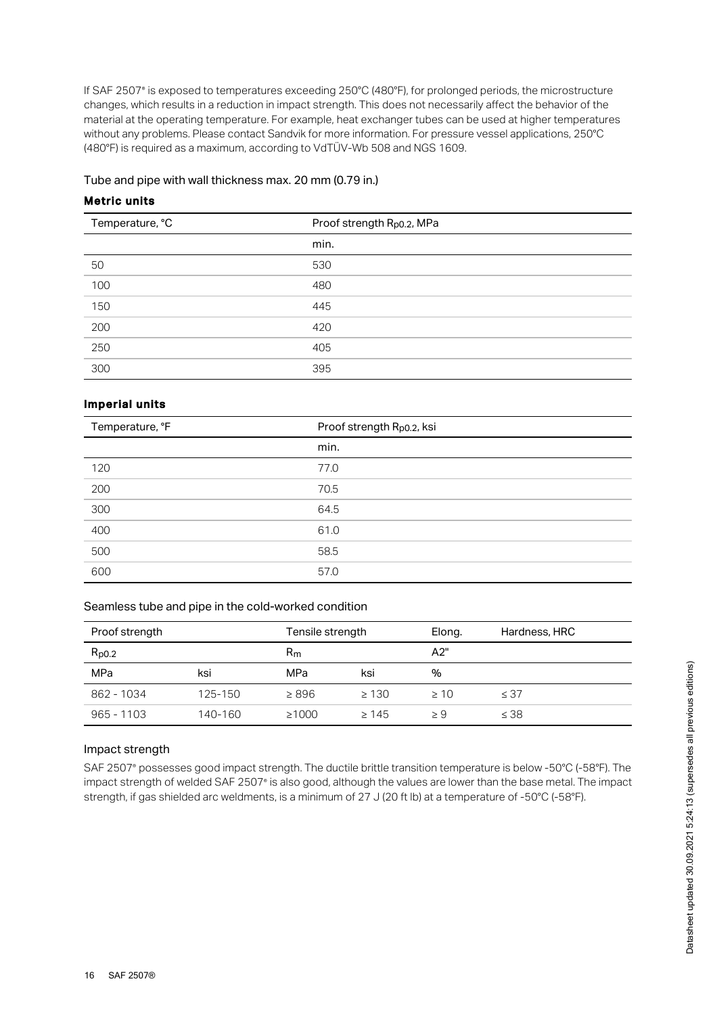If SAF 2507° is exposed to temperatures exceeding 250°C (480°F), for prolonged periods, the microstructure changes, which results in a reduction in impact strength. This does not necessarily affect the behavior of the material at the operating temperature. For example, heat exchanger tubes can be used at higher temperatures without any problems. Please contact Sandvik for more information. For pressure vessel applications, 250°C (480°F) is required as a maximum, according to VdTÜV-Wb 508 and NGS 1609.

#### Tube and pipe with wall thickness max. 20 mm (0.79 in.)

# Metric units

| Temperature, °C | Proof strength R <sub>p0.2</sub> , MPa |
|-----------------|----------------------------------------|
|                 | min.                                   |
| 50              | 530                                    |
| 100<br>$\sim$   | 480                                    |
| 150             | 445                                    |
| 200             | 420                                    |
| 250             | 405                                    |
| $\sim$<br>300   | 395                                    |

# Imperial units

| Temperature, °F | Proof strength Rp0.2, ksi |
|-----------------|---------------------------|
|                 | min.                      |
| 120             | 77.0                      |
| 200<br>$\sim$   | 70.5                      |
| 300             | 64.5                      |
| 400             | 61.0                      |
| 500             | 58.5                      |
| 600             | 57.0                      |

#### Seamless tube and pipe in the cold-worked condition

| Proof strength        |         | Tensile strength |            | Elong.    | Hardness, HRC |
|-----------------------|---------|------------------|------------|-----------|---------------|
| $R_{p0.2}$<br>$R_{m}$ |         | A2"              |            |           |               |
| MPa                   | ksi     | MPa              | ksi        | %         |               |
| 862 - 1034            | 125-150 | $\geq 896$       | $\geq 130$ | $\geq 10$ | $\leq 37$     |
| $965 - 1103$          | 140-160 | $\geq 1000$      | $\geq 145$ | $\geq 9$  | $\leq 38$     |

#### Impact strength

SAF 2507° possesses good impact strength. The ductile brittle transition temperature is below -50°C (-58°F). The impact strength of welded SAF 2507° is also good, although the values are lower than the base metal. The impact strength, if gas shielded arc weldments, is a minimum of 27 J (20 ft lb) at a temperature of -50°C (-58°F).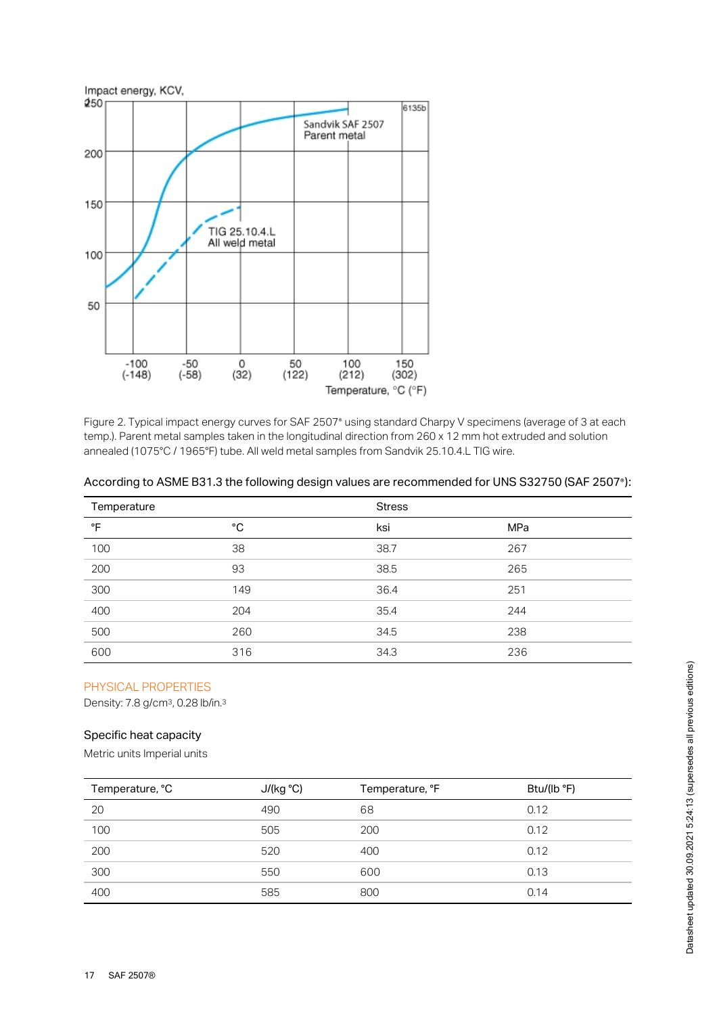

Figure 2. Typical impact energy curves for SAF 2507° using standard Charpy V specimens (average of 3 at each temp.). Parent metal samples taken in the longitudinal direction from 260 x 12 mm hot extruded and solution annealed (1075°C / 1965°F) tube. All weld metal samples from Sandvik 25.10.4.L TIG wire.

| Temperature     |     | <b>Stress</b> |     |  |
|-----------------|-----|---------------|-----|--|
| °F              | °C  | ksi           | MPa |  |
| 100             | 38  | 38.7          | 267 |  |
| 200             | 93  | 38.5          | 265 |  |
| $\frac{1}{300}$ | 149 | 36.4          | 251 |  |
| $\sim$<br>400   | 204 | 35.4          | 244 |  |
| 500             | 260 | 34.5          | 238 |  |
| 600             | 316 | 34.3          | 236 |  |

|  | According to ASME B31.3 the following design values are recommended for UNS S32750 (SAF 2507°): |  |
|--|-------------------------------------------------------------------------------------------------|--|
|  |                                                                                                 |  |

# PHYSICAL PROPERTIES

Density: 7.8 g/cm<sup>3</sup>, 0.28 lb/in.<sup>3</sup>

## Specific heat capacity

Metric units Imperial units

| Temperature, °C | J/(kg °C) | Temperature, °F | Btu/(lb $\degree$ F) |
|-----------------|-----------|-----------------|----------------------|
| 20              | 490       | 68              | 0.12                 |
| 100             | 505       | 200             | 0.12                 |
| 200             | 520       | 400             | 0.12                 |
| 300             | 550       | 600             | 0.13                 |
| 400             | 585       | 800             | 0.14                 |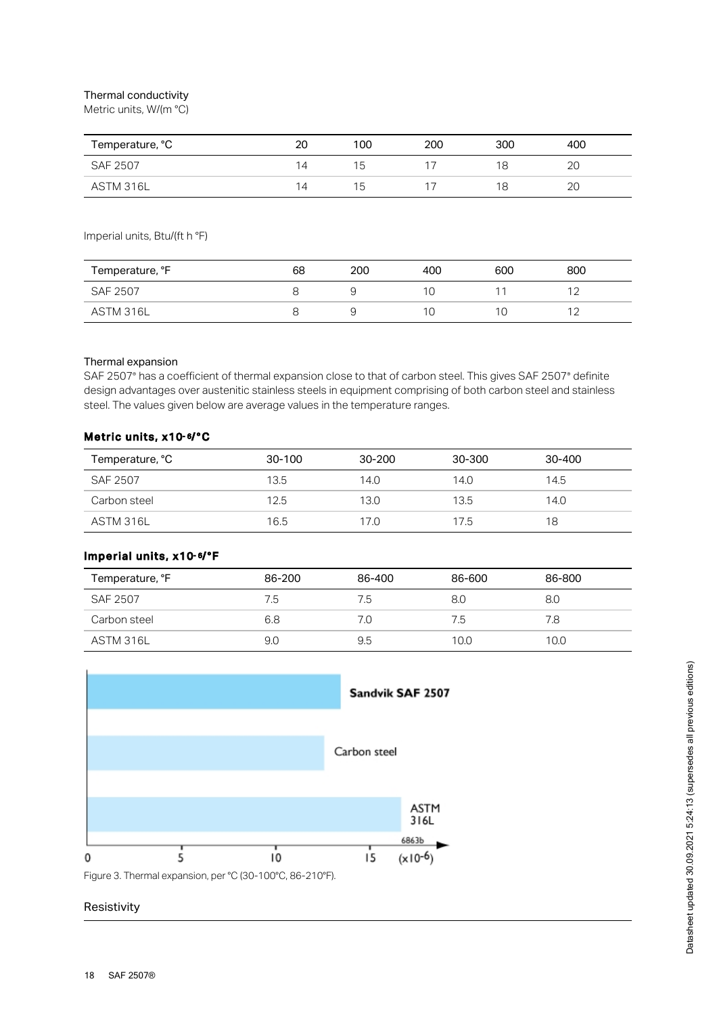## Thermal conductivity

Metric units, W/(m °C)

| Temperature, °C | 20             | 100 | 200 | 300 | 400 |
|-----------------|----------------|-----|-----|-----|-----|
| SAF 2507        | $\overline{4}$ | ! 5 |     |     | 2C  |
| ASTM 316L       | $\overline{4}$ | ٦5. |     |     | 2C  |

Imperial units, Btu/(ft h °F)

| Temperature, °F | 68 | 200 | 400 | 600 | 800            |
|-----------------|----|-----|-----|-----|----------------|
| <b>SAF 2507</b> |    | ◡   |     |     | 1 <sup>0</sup> |
| ASTM 316L       |    |     |     |     | $\sim$         |

#### Thermal expansion

SAF 2507° has a coefficient of thermal expansion close to that of carbon steel. This gives SAF 2507° definite design advantages over austenitic stainless steels in equipment comprising of both carbon steel and stainless steel. The values given below are average values in the temperature ranges.

#### Metric units, x10-6/°C

| Temperature, °C | 30-100 | 30-200 | 30-300 | 30-400 |
|-----------------|--------|--------|--------|--------|
| SAF 2507        | 13.5   | 14.0   | 14.0   | 14.5   |
| Carbon steel    | 12.5   | 13.0   | 13.5   | 14.0   |
| ASTM 316L       | 16.5   | 17.0   | 17.5   | 18     |

# lmperial units, x10-6/°F

| Temperature, °F | 86-200 | 86-400 | 86-600 | 86-800 |
|-----------------|--------|--------|--------|--------|
| SAF 2507        | 7.5    | 7.5    | 8.0    | 8.0    |
| Carbon steel    | 6.8    | 7.0    | 7.5    | 7.8    |
| ASTM 316L       | 9.0    | 9.5    | 10.0   | 10.0   |



Figure 3. Thermal expansion, per °C (30-100°C, 86-210°F).

#### Resistivity